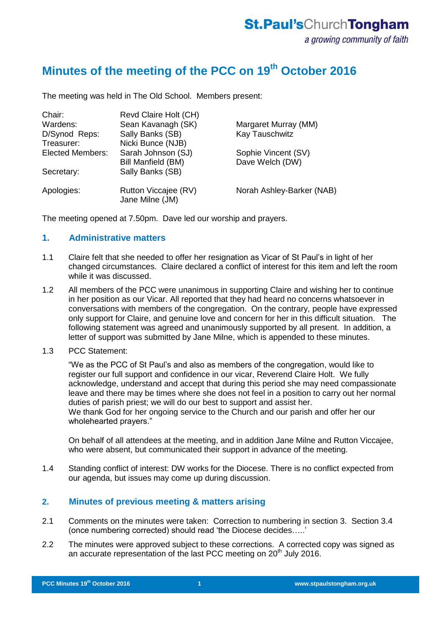## **Minutes of the meeting of the PCC on 19th October 2016**

The meeting was held in The Old School. Members present:

| Sean Kavanagh (SK)                      | Margaret Murray (MM)      |
|-----------------------------------------|---------------------------|
| Sally Banks (SB)                        | Kay Tauschwitz            |
| Nicki Bunce (NJB)                       |                           |
| Sarah Johnson (SJ)                      | Sophie Vincent (SV)       |
| Bill Manfield (BM)                      | Dave Welch (DW)           |
| Sally Banks (SB)                        |                           |
| Rutton Viccajee (RV)<br>Jane Milne (JM) | Norah Ashley-Barker (NAB) |
|                                         | Revd Claire Holt (CH)     |

The meeting opened at 7.50pm. Dave led our worship and prayers.

### **1. Administrative matters**

- 1.1 Claire felt that she needed to offer her resignation as Vicar of St Paul's in light of her changed circumstances. Claire declared a conflict of interest for this item and left the room while it was discussed.
- 1.2 All members of the PCC were unanimous in supporting Claire and wishing her to continue in her position as our Vicar. All reported that they had heard no concerns whatsoever in conversations with members of the congregation. On the contrary, people have expressed only support for Claire, and genuine love and concern for her in this difficult situation. The following statement was agreed and unanimously supported by all present. In addition, a letter of support was submitted by Jane Milne, which is appended to these minutes.
- 1.3 PCC Statement:

"We as the PCC of St Paul's and also as members of the congregation, would like to register our full support and confidence in our vicar, Reverend Claire Holt. We fully acknowledge, understand and accept that during this period she may need compassionate leave and there may be times where she does not feel in a position to carry out her normal duties of parish priest; we will do our best to support and assist her. We thank God for her ongoing service to the Church and our parish and offer her our wholehearted prayers."

On behalf of all attendees at the meeting, and in addition Jane Milne and Rutton Viccajee, who were absent, but communicated their support in advance of the meeting.

1.4 Standing conflict of interest: DW works for the Diocese. There is no conflict expected from our agenda, but issues may come up during discussion.

#### **2. Minutes of previous meeting & matters arising**

- 2.1 Comments on the minutes were taken: Correction to numbering in section 3. Section 3.4 (once numbering corrected) should read 'the Diocese decides…..'
- 2.2 The minutes were approved subject to these corrections. A corrected copy was signed as an accurate representation of the last PCC meeting on 20<sup>th</sup> July 2016.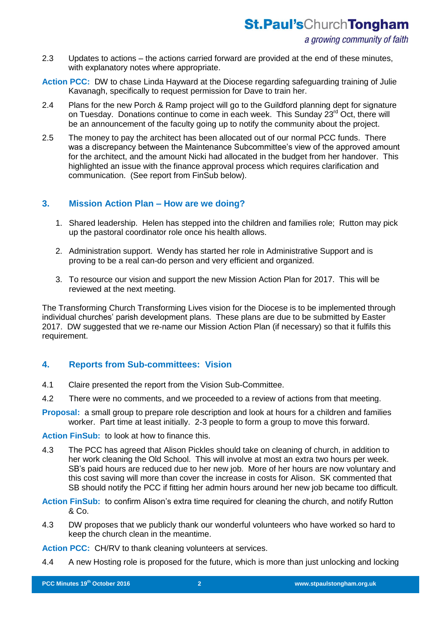- 2.3 Updates to actions the actions carried forward are provided at the end of these minutes, with explanatory notes where appropriate.
- **Action PCC:** DW to chase Linda Hayward at the Diocese regarding safeguarding training of Julie Kavanagh, specifically to request permission for Dave to train her.
- 2.4 Plans for the new Porch & Ramp project will go to the Guildford planning dept for signature on Tuesday. Donations continue to come in each week. This Sunday 23<sup>rd</sup> Oct, there will be an announcement of the faculty going up to notify the community about the project.
- 2.5 The money to pay the architect has been allocated out of our normal PCC funds. There was a discrepancy between the Maintenance Subcommittee's view of the approved amount for the architect, and the amount Nicki had allocated in the budget from her handover. This highlighted an issue with the finance approval process which requires clarification and communication. (See report from FinSub below).

### **3. Mission Action Plan – How are we doing?**

- 1. Shared leadership. Helen has stepped into the children and families role; Rutton may pick up the pastoral coordinator role once his health allows.
- 2. Administration support. Wendy has started her role in Administrative Support and is proving to be a real can-do person and very efficient and organized.
- 3. To resource our vision and support the new Mission Action Plan for 2017. This will be reviewed at the next meeting.

The Transforming Church Transforming Lives vision for the Diocese is to be implemented through individual churches' parish development plans. These plans are due to be submitted by Easter 2017. DW suggested that we re-name our Mission Action Plan (if necessary) so that it fulfils this requirement.

## **4. Reports from Sub-committees: Vision**

- 4.1 Claire presented the report from the Vision Sub-Committee.
- 4.2 There were no comments, and we proceeded to a review of actions from that meeting.
- **Proposal:** a small group to prepare role description and look at hours for a children and families worker. Part time at least initially. 2-3 people to form a group to move this forward.

**Action FinSub:** to look at how to finance this.

4.3 The PCC has agreed that Alison Pickles should take on cleaning of church, in addition to her work cleaning the Old School. This will involve at most an extra two hours per week. SB's paid hours are reduced due to her new job. More of her hours are now voluntary and this cost saving will more than cover the increase in costs for Alison. SK commented that SB should notify the PCC if fitting her admin hours around her new job became too difficult.

**Action FinSub:** to confirm Alison's extra time required for cleaning the church, and notify Rutton & Co.

4.3 DW proposes that we publicly thank our wonderful volunteers who have worked so hard to keep the church clean in the meantime.

**Action PCC:** CH/RV to thank cleaning volunteers at services.

4.4 A new Hosting role is proposed for the future, which is more than just unlocking and locking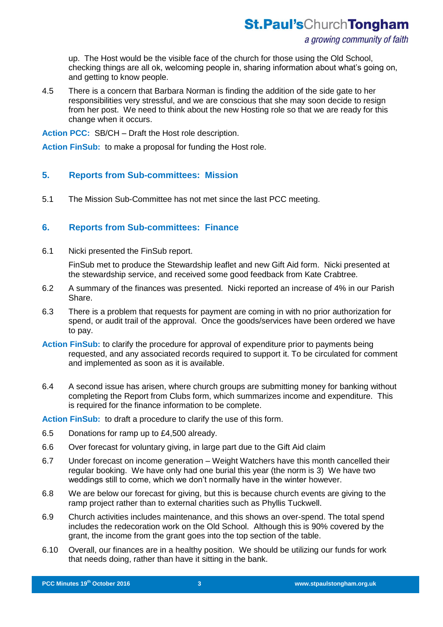up. The Host would be the visible face of the church for those using the Old School, checking things are all ok, welcoming people in, sharing information about what's going on, and getting to know people.

4.5 There is a concern that Barbara Norman is finding the addition of the side gate to her responsibilities very stressful, and we are conscious that she may soon decide to resign from her post. We need to think about the new Hosting role so that we are ready for this change when it occurs.

**Action PCC:** SB/CH – Draft the Host role description.

**Action FinSub:** to make a proposal for funding the Host role.

### **5. Reports from Sub-committees: Mission**

5.1 The Mission Sub-Committee has not met since the last PCC meeting.

### **6. Reports from Sub-committees: Finance**

6.1 Nicki presented the FinSub report.

FinSub met to produce the Stewardship leaflet and new Gift Aid form. Nicki presented at the stewardship service, and received some good feedback from Kate Crabtree.

- 6.2 A summary of the finances was presented. Nicki reported an increase of 4% in our Parish Share.
- 6.3 There is a problem that requests for payment are coming in with no prior authorization for spend, or audit trail of the approval. Once the goods/services have been ordered we have to pay.
- **Action FinSub:** to clarify the procedure for approval of expenditure prior to payments being requested, and any associated records required to support it. To be circulated for comment and implemented as soon as it is available.
- 6.4 A second issue has arisen, where church groups are submitting money for banking without completing the Report from Clubs form, which summarizes income and expenditure. This is required for the finance information to be complete.

**Action FinSub:** to draft a procedure to clarify the use of this form.

- 6.5 Donations for ramp up to £4,500 already.
- 6.6 Over forecast for voluntary giving, in large part due to the Gift Aid claim
- 6.7 Under forecast on income generation Weight Watchers have this month cancelled their regular booking. We have only had one burial this year (the norm is 3) We have two weddings still to come, which we don't normally have in the winter however.
- 6.8 We are below our forecast for giving, but this is because church events are giving to the ramp project rather than to external charities such as Phyllis Tuckwell.
- 6.9 Church activities includes maintenance, and this shows an over-spend. The total spend includes the redecoration work on the Old School. Although this is 90% covered by the grant, the income from the grant goes into the top section of the table.
- 6.10 Overall, our finances are in a healthy position. We should be utilizing our funds for work that needs doing, rather than have it sitting in the bank.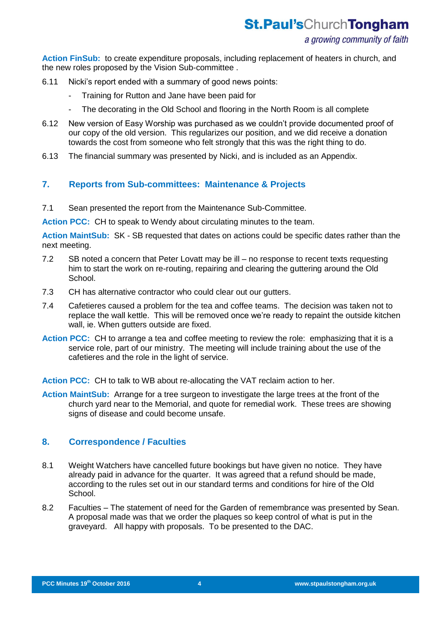## **St.Paul'sChurchTongham**

#### a growing community of faith

**Action FinSub:** to create expenditure proposals, including replacement of heaters in church, and the new roles proposed by the Vision Sub-committee .

- 6.11 Nicki's report ended with a summary of good news points:
	- Training for Rutton and Jane have been paid for
	- The decorating in the Old School and flooring in the North Room is all complete
- 6.12 New version of Easy Worship was purchased as we couldn't provide documented proof of our copy of the old version. This regularizes our position, and we did receive a donation towards the cost from someone who felt strongly that this was the right thing to do.
- 6.13 The financial summary was presented by Nicki, and is included as an Appendix.

### **7. Reports from Sub-committees: Maintenance & Projects**

7.1 Sean presented the report from the Maintenance Sub-Committee.

**Action PCC:** CH to speak to Wendy about circulating minutes to the team.

**Action MaintSub:** SK - SB requested that dates on actions could be specific dates rather than the next meeting.

- 7.2 SB noted a concern that Peter Lovatt may be ill no response to recent texts requesting him to start the work on re-routing, repairing and clearing the guttering around the Old School.
- 7.3 CH has alternative contractor who could clear out our gutters.
- 7.4 Cafetieres caused a problem for the tea and coffee teams. The decision was taken not to replace the wall kettle. This will be removed once we're ready to repaint the outside kitchen wall, ie. When gutters outside are fixed.
- **Action PCC:** CH to arrange a tea and coffee meeting to review the role: emphasizing that it is a service role, part of our ministry. The meeting will include training about the use of the cafetieres and the role in the light of service.

**Action PCC:** CH to talk to WB about re-allocating the VAT reclaim action to her.

**Action MaintSub:** Arrange for a tree surgeon to investigate the large trees at the front of the church yard near to the Memorial, and quote for remedial work. These trees are showing signs of disease and could become unsafe.

#### **8. Correspondence / Faculties**

- 8.1 Weight Watchers have cancelled future bookings but have given no notice. They have already paid in advance for the quarter. It was agreed that a refund should be made, according to the rules set out in our standard terms and conditions for hire of the Old School.
- 8.2 Faculties The statement of need for the Garden of remembrance was presented by Sean. A proposal made was that we order the plaques so keep control of what is put in the graveyard. All happy with proposals. To be presented to the DAC.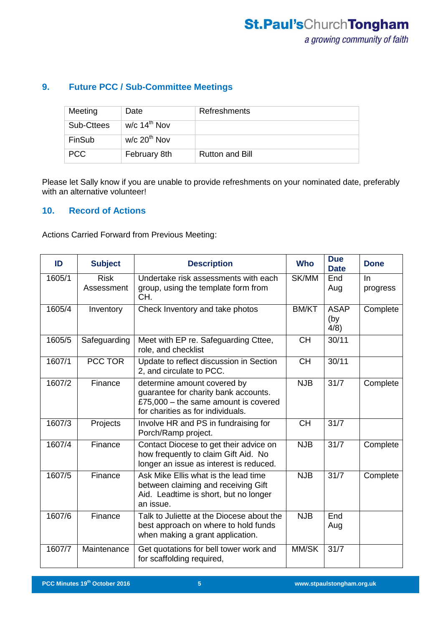## **9. Future PCC / Sub-Committee Meetings**

| Meeting    | Date                       | Refreshments           |
|------------|----------------------------|------------------------|
| Sub-Cttees | w/c $14th$ Nov             |                        |
| FinSub     | $w/c$ 20 <sup>th</sup> Nov |                        |
| <b>PCC</b> | February 8th               | <b>Rutton and Bill</b> |

Please let Sally know if you are unable to provide refreshments on your nominated date, preferably with an alternative volunteer!

## **10. Record of Actions**

Actions Carried Forward from Previous Meeting:

| ID     | <b>Subject</b>            | <b>Description</b>                                                                                                                                 | <b>Who</b>   | <b>Due</b><br><b>Date</b>  | <b>Done</b>     |
|--------|---------------------------|----------------------------------------------------------------------------------------------------------------------------------------------------|--------------|----------------------------|-----------------|
| 1605/1 | <b>Risk</b><br>Assessment | Undertake risk assessments with each<br>group, using the template form from<br>CH.                                                                 | SK/MM        | End<br>Aug                 | In.<br>progress |
| 1605/4 | Inventory                 | Check Inventory and take photos                                                                                                                    | <b>BM/KT</b> | <b>ASAP</b><br>(by<br>4/8) | Complete        |
| 1605/5 | Safeguarding              | Meet with EP re. Safeguarding Cttee,<br>role, and checklist                                                                                        | <b>CH</b>    | 30/11                      |                 |
| 1607/1 | PCC TOR                   | Update to reflect discussion in Section<br>2, and circulate to PCC.                                                                                | <b>CH</b>    | 30/11                      |                 |
| 1607/2 | Finance                   | determine amount covered by<br>guarantee for charity bank accounts.<br>£75,000 $-$ the same amount is covered<br>for charities as for individuals. | <b>NJB</b>   | 31/7                       | Complete        |
| 1607/3 | Projects                  | Involve HR and PS in fundraising for<br>Porch/Ramp project.                                                                                        | <b>CH</b>    | 31/7                       |                 |
| 1607/4 | Finance                   | Contact Diocese to get their advice on<br>how frequently to claim Gift Aid. No<br>longer an issue as interest is reduced.                          | <b>NJB</b>   | 31/7                       | Complete        |
| 1607/5 | Finance                   | Ask Mike Ellis what is the lead time<br>between claiming and receiving Gift<br>Aid. Leadtime is short, but no longer<br>an issue.                  | <b>NJB</b>   | $31/\overline{7}$          | Complete        |
| 1607/6 | Finance                   | Talk to Juliette at the Diocese about the<br>best approach on where to hold funds<br>when making a grant application.                              | <b>NJB</b>   | End<br>Aug                 |                 |
| 1607/7 | Maintenance               | Get quotations for bell tower work and<br>for scaffolding required,                                                                                | MM/SK        | 31/7                       |                 |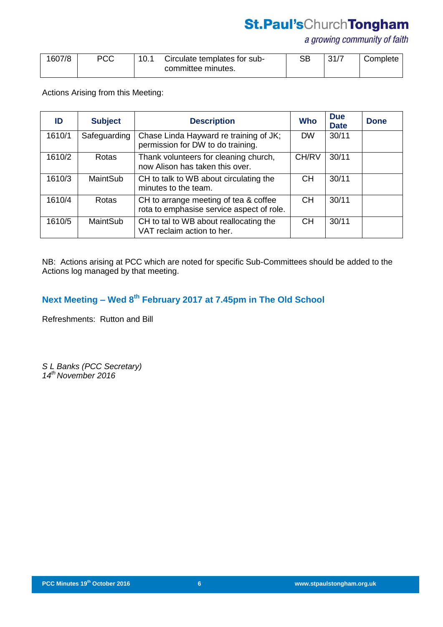# **St.Paul'sChurchTongham**

a growing community of faith

| 1607/8 | PCC | Circulate templates for sub- |                    |  | 31/7 | <sup>1</sup> Complete |
|--------|-----|------------------------------|--------------------|--|------|-----------------------|
|        |     |                              | committee minutes. |  |      |                       |

Actions Arising from this Meeting:

| ID     | <b>Subject</b> | <b>Description</b>                                                                 | <b>Who</b> | <b>Due</b><br><b>Date</b> | <b>Done</b> |
|--------|----------------|------------------------------------------------------------------------------------|------------|---------------------------|-------------|
| 1610/1 | Safeguarding   | Chase Linda Hayward re training of JK;<br>permission for DW to do training.        | <b>DW</b>  | 30/11                     |             |
| 1610/2 | Rotas          | Thank volunteers for cleaning church,<br>now Alison has taken this over.           | CH/RV      | 30/11                     |             |
| 1610/3 | MaintSub       | CH to talk to WB about circulating the<br>minutes to the team.                     | <b>CH</b>  | 30/11                     |             |
| 1610/4 | Rotas          | CH to arrange meeting of tea & coffee<br>rota to emphasise service aspect of role. | <b>CH</b>  | 30/11                     |             |
| 1610/5 | MaintSub       | CH to tal to WB about reallocating the<br>VAT reclaim action to her.               | <b>CH</b>  | 30/11                     |             |

NB: Actions arising at PCC which are noted for specific Sub-Committees should be added to the Actions log managed by that meeting.

## **Next Meeting – Wed 8 th February 2017 at 7.45pm in The Old School**

Refreshments: Rutton and Bill

*S L Banks (PCC Secretary) 14th November 2016*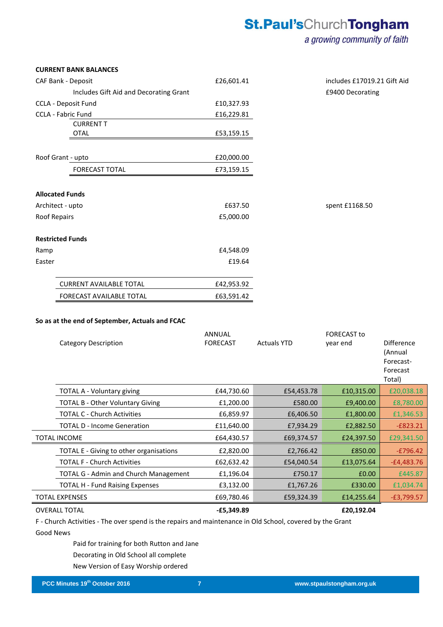# **St.Paul'sChurchTongham**

## a growing community of faith

| <b>CURRENT BANK BALANCES</b>           |            |                             |
|----------------------------------------|------------|-----------------------------|
| CAF Bank - Deposit                     | £26,601.41 | includes £17019.21 Gift Aid |
| Includes Gift Aid and Decorating Grant |            | £9400 Decorating            |
| CCLA - Deposit Fund                    | £10,327.93 |                             |
| CCLA - Fabric Fund                     | £16,229.81 |                             |
| <b>CURRENT T</b>                       |            |                             |
| <b>OTAL</b>                            | £53,159.15 |                             |
| Roof Grant - upto                      | £20,000.00 |                             |
| <b>FORECAST TOTAL</b>                  | £73,159.15 |                             |
| <b>Allocated Funds</b>                 |            |                             |
| Architect - upto                       | £637.50    | spent £1168.50              |
| Roof Repairs                           | £5,000.00  |                             |
| <b>Restricted Funds</b>                |            |                             |
| Ramp                                   | £4,548.09  |                             |
| Easter                                 | £19.64     |                             |
| <b>CURRENT AVAILABLE TOTAL</b>         | £42,953.92 |                             |
| <b>FORECAST AVAILABLE TOTAL</b>        | £63,591.42 |                             |

#### **So as at the end of September, Actuals and FCAC**

| <b>Category Description</b>                  | <b>ANNUAL</b><br><b>FORECAST</b> | <b>Actuals YTD</b> | <b>FORECAST to</b><br>year end | Difference<br>(Annual<br>Forecast-<br>Forecast<br>Total) |
|----------------------------------------------|----------------------------------|--------------------|--------------------------------|----------------------------------------------------------|
| TOTAL A - Voluntary giving                   | £44,730.60                       | £54,453.78         | £10,315.00                     | £20,038.18                                               |
| <b>TOTAL B - Other Voluntary Giving</b>      | £1,200.00                        | £580.00            | £9,400.00                      | £8,780.00                                                |
| <b>TOTAL C - Church Activities</b>           | £6,859.97                        | £6,406.50          | £1,800.00                      | £1,346.53                                                |
| <b>TOTAL D - Income Generation</b>           | £11,640.00                       | £7,934.29          | £2,882.50                      | $-£823.21$                                               |
| <b>TOTAL INCOME</b>                          | £64,430.57                       | £69,374.57         | £24,397.50                     | £29,341.50                                               |
| TOTAL E - Giving to other organisations      | £2,820.00                        | £2,766.42          | £850.00                        | $-E796.42$                                               |
| <b>TOTAL F - Church Activities</b>           | £62,632.42                       | £54,040.54         | £13,075.64                     | $-E4,483.76$                                             |
| <b>TOTAL G - Admin and Church Management</b> | £1,196.04                        | £750.17            | £0.00                          | £445.87                                                  |
| <b>TOTAL H - Fund Raising Expenses</b>       | £3,132.00                        | £1,767.26          | £330.00                        | £1,034.74                                                |
| TOTAL EXPENSES                               | £69,780.46                       | £59,324.39         | £14,255.64                     | $-E3,799.57$                                             |
| <b>OVERALL TOTAL</b>                         | $-E5,349.89$                     |                    | £20,192.04                     |                                                          |

F - Church Activities - The over spend is the repairs and maintenance in Old School, covered by the Grant Good News

Paid for training for both Rutton and Jane Decorating in Old School all complete New Version of Easy Worship ordered

**PCC Minutes 17th September 2015 7**